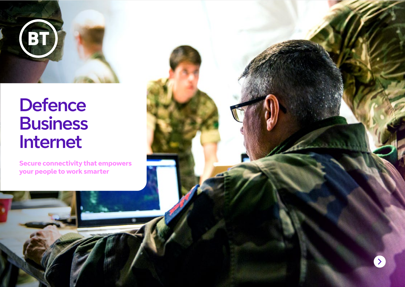

# **Defence Business** Internet

**Secure connectivity that empowers your people to work smarter**

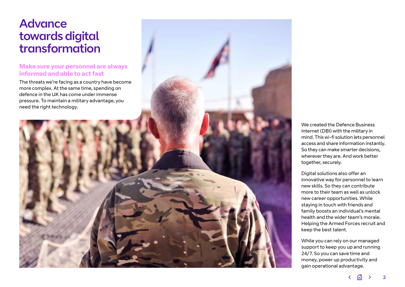## **Advance** towards digital transformation

#### **Make sure your personnel are always informed and able to act fast**

The threats we're facing as a country have become more complex. At the same time, spending on defence in the UK has come under immense pressure. To maintain a military advantage, you need the right technology.

We created the Defence Business Internet (DBI) with the military in mind. This wi-fi solution lets personnel access and share information instantly. So they can make smarter decisions, wherever they are. And work better together, securely.

Digital solutions also offer an innovative way for personnel to learn new skills. So they can contribute more to their team as well as unlock new career opportunities. While staying in touch with friends and family boosts an individual's mental health and the wider team's morale. Helping the Armed Forces recruit and keep the best talent.

While you can rely on our managed support to keep you up and running 24/7. So you can save time and money, power up productivity and gain operational advantage.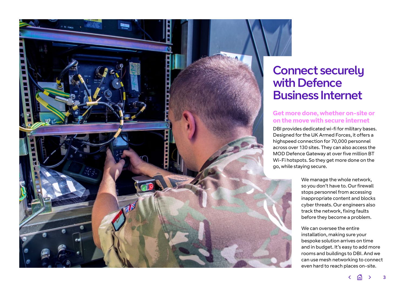

## Connect securely with Defence Business Internet

### **Get more done, whether on-site or on the move with secure internet**

DBI provides dedicated wi-fi for military bases. Designed for the UK Armed Forces, it offers a highspeed connection for 70,000 personnel across over 130 sites. They can also access the MOD Defence Gateway at over five million BT Wi-Fi hotspots. So they get more done on the go, while staying secure.

> We manage the whole network, so you don't have to. Our firewall stops personnel from accessing inappropriate content and blocks cyber threats. Our engineers also track the network, fixing faults before they become a problem.

We can oversee the entire installation, making sure your bespoke solution arrives on time and in budget. It's easy to add more rooms and buildings to DBI. And we can use mesh networking to connect even hard to reach places on-site.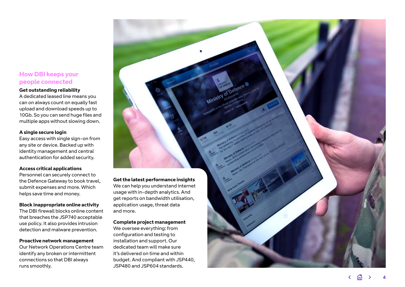#### **How DBI keeps your people connected**

#### **Get outstanding reliability**

A dedicated leased line means you can on always count on equally fast upload and download speeds up to 10Gb. So you can send huge files and multiple apps without slowing down.

#### **A single secure login**

Easy access with single sign-on from any site or device. Backed up with identity management and central authentication for added security.

#### **Access critical applications**

Personnel can securely connect to the Defence Gateway to book travel, submit expenses and more. Which helps save time and money.

#### **Block inappropriate online activity**

The DBI firewall blocks online content that breaches the JSP740 acceptable use policy. It also provides intrusion detection and malware prevention.

#### **Proactive network management**

Our Network Operations Centre team identify any broken or intermittent connections so that DBI always runs smoothly.

**Get the latest performance insights** We can help you understand internet usage with in-depth analytics. And get reports on bandwidth utilisation, application usage, threat data and more.

#### **Complete project management**

We oversee everything: from configuration and testing to installation and support. Our dedicated team will make sure it's delivered on time and within budget. And compliant with JSP440, JSP480 and JSP604 standards.

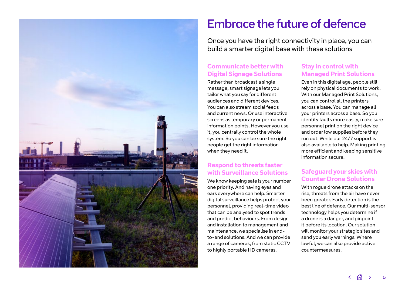

## Embrace the future of defence

Once you have the right connectivity in place, you can build a smarter digital base with these solutions

## **Communicate better with Digital Signage Solutions**

Rather than broadcast a single message, smart signage lets you tailor what you say for different audiences and different devices. You can also stream social feeds and current news. Or use interactive screens as temporary or permanent information points. However you use it, you centrally control the whole system. So you can be sure the right people get the right information – when they need it.

### **Respond to threats faster with Surveillance Solutions**

We know keeping safe is your number one priority. And having eyes and ears everywhere can help. Smarter digital surveillance helps protect your personnel, providing real-time video that can be analysed to spot trends and predict behaviours. From design and installation to management and maintenance, we specialise in endto-end solutions. And we can provide a range of cameras, from static CCTV to highly portable HD cameras.

#### **Stay in control with Managed Print Solutions**

Even in this digital age, people still rely on physical documents to work. With our Managed Print Solutions, you can control all the printers across a base. You can manage all your printers across a base. So you identify faults more easily, make sure personnel print on the right device and order low supplies before they run out. While our 24/7 support is also available to help. Making printing more efficient and keeping sensitive information secure.

## **Safeguard your skies with Counter Drone Solutions**

With rogue drone attacks on the rise, threats from the air have never been greater. Early detection is the best line of defence. Our multi-sensor technology helps you determine if a drone is a danger, and pinpoint it before its location. Our solution will monitor your strategic sites and send you early warnings. Where lawful, we can also provide active countermeasures.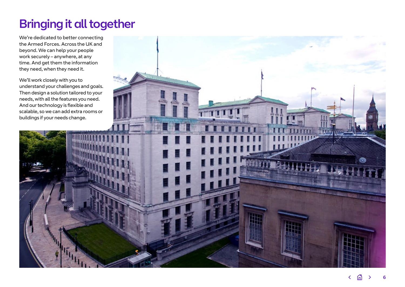## Bringing it all together

We're dedicated to better connecting the Armed Forces. Across the UK and beyond. We can help your people work securely – anywhere, at any time. And get them the information they need, when they need it.

understand your challenges and goals. Then design a solution tailored to your needs, with all the features you need. And our technology is flexible and scalable, so we can add extra rooms or

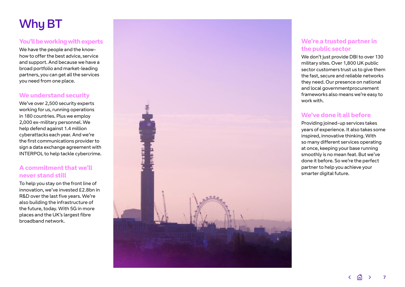## Why BT

#### **You'll be working with experts**

We have the people and the knowhow to offer the best advice, service and support. And because we have a broad portfolio and market-leading partners, you can get all the services you need from one place.

#### **We understand security**

We've over 2,500 security experts working for us, running operations in 180 countries. Plus we employ 2,000 ex-military personnel. We help defend against 1.4 million cyberattacks each year. And we're the first communications provider to sign a data exchange agreement with INTERPOL to help tackle cybercrime.

### **A commitment that we'll never stand still**

To help you stay on the front line of innovation, we've invested £2.8bn in R&D over the last five years. We're also building the infrastructure of the future, today. With 5G in more places and the UK's largest fibre broadband network.



### **We're a trusted partner in the public sector**

We don't just provide DBI to over 130 military sites. Over 1,800 UK public sector customers trust us to give them the fast, secure and reliable networks they need. Our presence on national and local governmentprocurement frameworks also means we're easy to work with.

### **We've done it all before**

Providing joined-up services takes years of experience. It also takes some inspired, innovative thinking. With so many different services operating at once, keeping your base running smoothly is no mean feat. But we've done it before. So we're the perfect partner to help you achieve your smarter digital future.